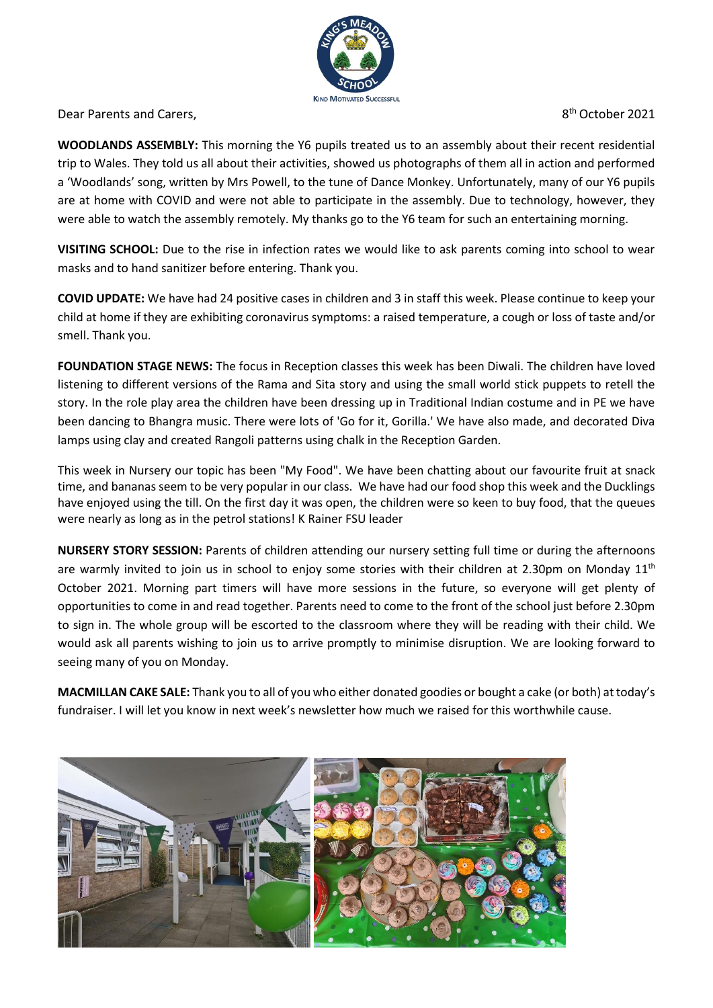

Dear Parents and Carers.

8<sup>th</sup> October 2021

**WOODLANDS ASSEMBLY:** This morning the Y6 pupils treated us to an assembly about their recent residential trip to Wales. They told us all about their activities, showed us photographs of them all in action and performed a 'Woodlands' song, written by Mrs Powell, to the tune of Dance Monkey. Unfortunately, many of our Y6 pupils are at home with COVID and were not able to participate in the assembly. Due to technology, however, they were able to watch the assembly remotely. My thanks go to the Y6 team for such an entertaining morning.

**VISITING SCHOOL:** Due to the rise in infection rates we would like to ask parents coming into school to wear masks and to hand sanitizer before entering. Thank you.

**COVID UPDATE:** We have had 24 positive cases in children and 3 in staff this week. Please continue to keep your child at home if they are exhibiting coronavirus symptoms: a raised temperature, a cough or loss of taste and/or smell. Thank you.

**FOUNDATION STAGE NEWS:** The focus in Reception classes this week has been Diwali. The children have loved listening to different versions of the Rama and Sita story and using the small world stick puppets to retell the story. In the role play area the children have been dressing up in Traditional Indian costume and in PE we have been dancing to Bhangra music. There were lots of 'Go for it, Gorilla.' We have also made, and decorated Diva lamps using clay and created Rangoli patterns using chalk in the Reception Garden.

This week in Nursery our topic has been "My Food". We have been chatting about our favourite fruit at snack time, and bananasseem to be very popular in our class. We have had our food shop this week and the Ducklings have enjoyed using the till. On the first day it was open, the children were so keen to buy food, that the queues were nearly as long as in the petrol stations! K Rainer FSU leader

**NURSERY STORY SESSION:** Parents of children attending our nursery setting full time or during the afternoons are warmly invited to join us in school to enjoy some stories with their children at 2.30pm on Monday  $11<sup>th</sup>$ October 2021. Morning part timers will have more sessions in the future, so everyone will get plenty of opportunities to come in and read together. Parents need to come to the front of the school just before 2.30pm to sign in. The whole group will be escorted to the classroom where they will be reading with their child. We would ask all parents wishing to join us to arrive promptly to minimise disruption. We are looking forward to seeing many of you on Monday.

**MACMILLAN CAKE SALE:** Thank you to all of you who either donated goodies or bought a cake (or both) at today's fundraiser. I will let you know in next week's newsletter how much we raised for this worthwhile cause.

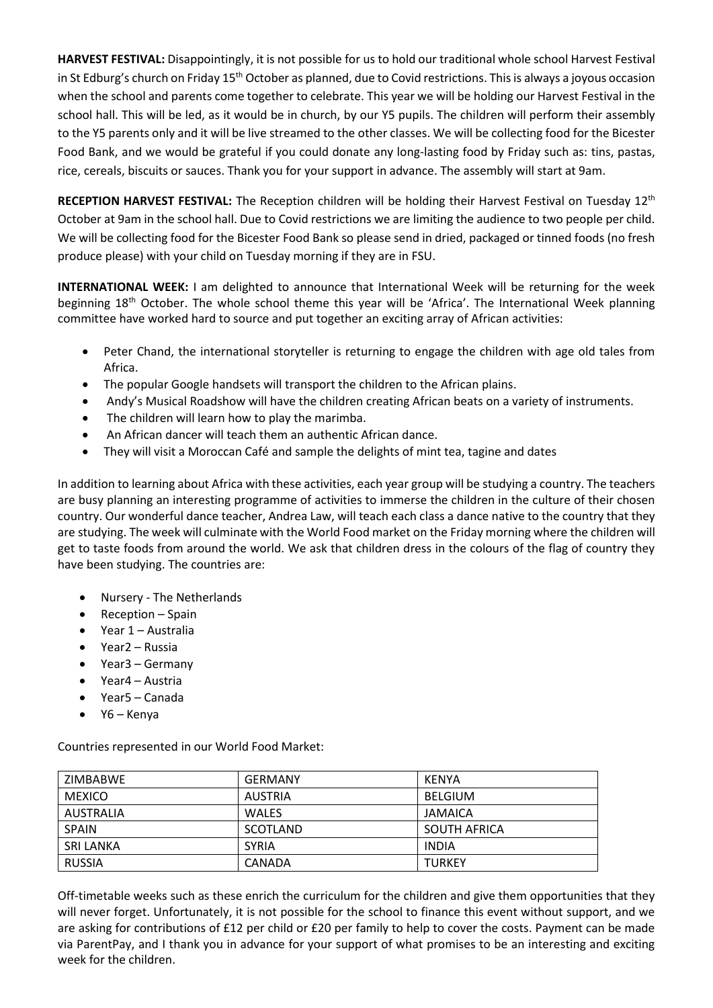**HARVEST FESTIVAL:** Disappointingly, it is not possible for us to hold our traditional whole school Harvest Festival in St Edburg's church on Friday 15<sup>th</sup> October as planned, due to Covid restrictions. This is always a joyous occasion when the school and parents come together to celebrate. This year we will be holding our Harvest Festival in the school hall. This will be led, as it would be in church, by our Y5 pupils. The children will perform their assembly to the Y5 parents only and it will be live streamed to the other classes. We will be collecting food for the Bicester Food Bank, and we would be grateful if you could donate any long-lasting food by Friday such as: tins, pastas, rice, cereals, biscuits or sauces. Thank you for your support in advance. The assembly will start at 9am.

**RECEPTION HARVEST FESTIVAL:** The Reception children will be holding their Harvest Festival on Tuesday 12<sup>th</sup> October at 9am in the school hall. Due to Covid restrictions we are limiting the audience to two people per child. We will be collecting food for the Bicester Food Bank so please send in dried, packaged or tinned foods (no fresh produce please) with your child on Tuesday morning if they are in FSU.

**INTERNATIONAL WEEK:** I am delighted to announce that International Week will be returning for the week beginning 18<sup>th</sup> October. The whole school theme this year will be 'Africa'. The International Week planning committee have worked hard to source and put together an exciting array of African activities:

- Peter Chand, the international storyteller is returning to engage the children with age old tales from Africa.
- The popular Google handsets will transport the children to the African plains.
- Andy's Musical Roadshow will have the children creating African beats on a variety of instruments.
- The children will learn how to play the marimba.
- An African dancer will teach them an authentic African dance.
- They will visit a Moroccan Café and sample the delights of mint tea, tagine and dates

In addition to learning about Africa with these activities, each year group will be studying a country. The teachers are busy planning an interesting programme of activities to immerse the children in the culture of their chosen country. Our wonderful dance teacher, Andrea Law, will teach each class a dance native to the country that they are studying. The week will culminate with the World Food market on the Friday morning where the children will get to taste foods from around the world. We ask that children dress in the colours of the flag of country they have been studying. The countries are:

- Nursery The Netherlands
- Reception Spain
- Year 1 Australia
- Year2 Russia
- Year3 Germany
- Year4 Austria
- Year5 Canada
- Y6 Kenya

Countries represented in our World Food Market:

| ZIMBABWE         | <b>GERMANY</b> | KENYA          |
|------------------|----------------|----------------|
| <b>MEXICO</b>    | AUSTRIA        | <b>BELGIUM</b> |
| <b>AUSTRALIA</b> | <b>WALES</b>   | JAMAICA        |
| <b>SPAIN</b>     | SCOTLAND       | SOUTH AFRICA   |
| <b>SRI LANKA</b> | <b>SYRIA</b>   | <b>INDIA</b>   |
| <b>RUSSIA</b>    | CANADA         | <b>TURKEY</b>  |

Off-timetable weeks such as these enrich the curriculum for the children and give them opportunities that they will never forget. Unfortunately, it is not possible for the school to finance this event without support, and we are asking for contributions of £12 per child or £20 per family to help to cover the costs. Payment can be made via ParentPay, and I thank you in advance for your support of what promises to be an interesting and exciting week for the children.